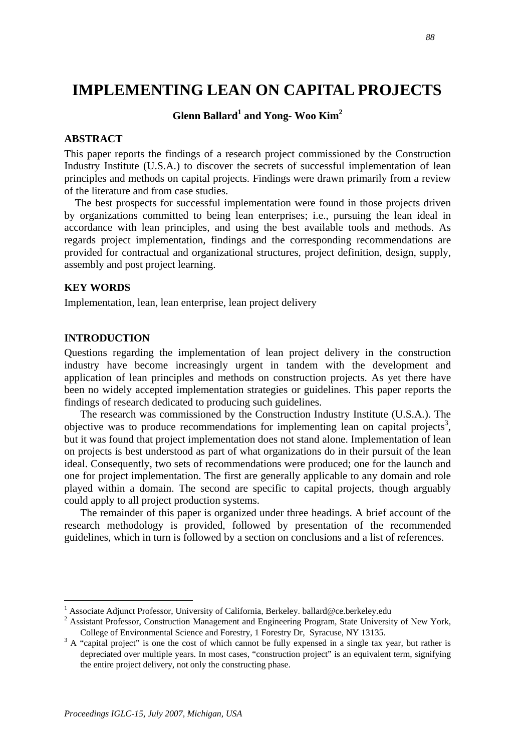# **IMPLEMENTING LEAN ON CAPITAL PROJECTS**

# $G$ lenn Ballard<sup>1</sup> and Yong- Woo Kim<sup>2</sup>

## **ABSTRACT**

This paper reports the findings of a research project commissioned by the Construction Industry Institute (U.S.A.) to discover the secrets of successful implementation of lean principles and methods on capital projects. Findings were drawn primarily from a review of the literature and from case studies.

 The best prospects for successful implementation were found in those projects driven by organizations committed to being lean enterprises; i.e., pursuing the lean ideal in accordance with lean principles, and using the best available tools and methods. As regards project implementation, findings and the corresponding recommendations are provided for contractual and organizational structures, project definition, design, supply, assembly and post project learning.

#### **KEY WORDS**

Implementation, lean, lean enterprise, lean project delivery

#### **INTRODUCTION**

 $\overline{a}$ 

Questions regarding the implementation of lean project delivery in the construction industry have become increasingly urgent in tandem with the development and application of lean principles and methods on construction projects. As yet there have been no widely accepted implementation strategies or guidelines. This paper reports the findings of research dedicated to producing such guidelines.

The research was commissioned by the Construction Industry Institute (U.S.A.). The objective was to produce recommendations for implementing lean on capital projects<sup>3</sup>, but it was found that project implementation does not stand alone. Implementation of lean on projects is best understood as part of what organizations do in their pursuit of the lean ideal. Consequently, two sets of recommendations were produced; one for the launch and one for project implementation. The first are generally applicable to any domain and role played within a domain. The second are specific to capital projects, though arguably could apply to all project production systems.

The remainder of this paper is organized under three headings. A brief account of the research methodology is provided, followed by presentation of the recommended guidelines, which in turn is followed by a section on conclusions and a list of references.

<sup>&</sup>lt;sup>1</sup> Associate Adjunct Professor, University of California, Berkeley. ballard@ce.berkeley.edu 2. Assistant Professor, Construction Managament and Engineering Program. State University

<sup>&</sup>lt;sup>2</sup> Assistant Professor, Construction Management and Engineering Program, State University of New York, College of Environmental Science and Forestry, 1 Forestry Dr, Syracuse, NY 13135.

 $3 \text{ A}$  "capital project" is one the cost of which cannot be fully expensed in a single tax year, but rather is depreciated over multiple years. In most cases, "construction project" is an equivalent term, signifying the entire project delivery, not only the constructing phase.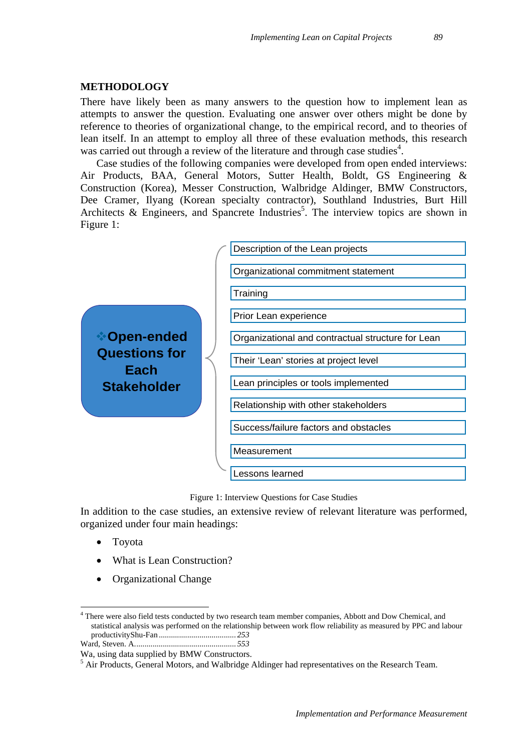#### **METHODOLOGY**

There have likely been as many answers to the question how to implement lean as attempts to answer the question. Evaluating one answer over others might be done by reference to theories of organizational change, to the empirical record, and to theories of lean itself. In an attempt to employ all three of these evaluation methods, this research was carried out through a review of the literature and through case studies<sup>4</sup>.

Case studies of the following companies were developed from open ended interviews: Air Products, BAA, General Motors, Sutter Health, Boldt, GS Engineering & Construction (Korea), Messer Construction, Walbridge Aldinger, BMW Constructors, Dee Cramer, Ilyang (Korean specialty contractor), Southland Industries, Burt Hill Architects & Engineers, and Spancrete Industries<sup>5</sup>. The interview topics are shown in Figure 1:



Figure 1: Interview Questions for Case Studies

In addition to the case studies, an extensive review of relevant literature was performed, organized under four main headings:

• Toyota

 $\overline{a}$ 

- What is Lean Construction?
- Organizational Change

<sup>&</sup>lt;sup>4</sup> There were also field tests conducted by two research team member companies, Abbott and Dow Chemical, and statistical analysis was performed on the relationship between work flow reliability as measured by PPC and labour productivityShu-Fan ...................................... *253* Ward, Steven. A.................................................. *553*

Wa, using data supplied by BMW Constructors.

<sup>&</sup>lt;sup>5</sup> Air Products, General Motors, and Walbridge Aldinger had representatives on the Research Team.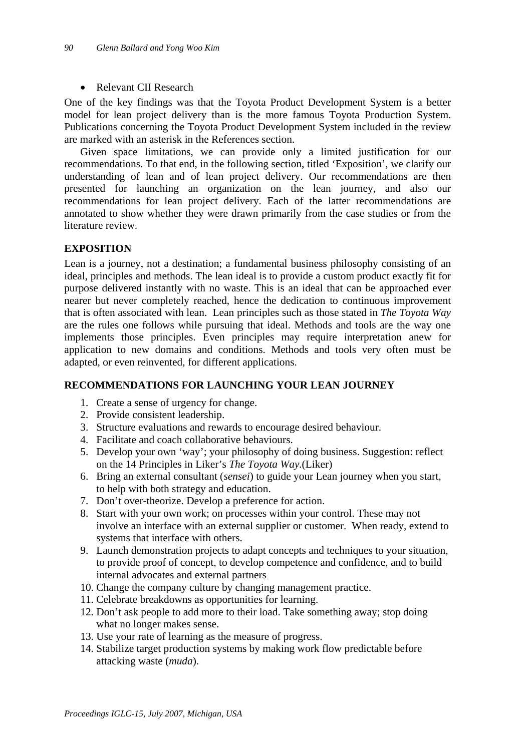## • Relevant CII Research

One of the key findings was that the Toyota Product Development System is a better model for lean project delivery than is the more famous Toyota Production System. Publications concerning the Toyota Product Development System included in the review are marked with an asterisk in the References section.

Given space limitations, we can provide only a limited justification for our recommendations. To that end, in the following section, titled 'Exposition', we clarify our understanding of lean and of lean project delivery. Our recommendations are then presented for launching an organization on the lean journey, and also our recommendations for lean project delivery. Each of the latter recommendations are annotated to show whether they were drawn primarily from the case studies or from the literature review.

# **EXPOSITION**

Lean is a journey, not a destination; a fundamental business philosophy consisting of an ideal, principles and methods. The lean ideal is to provide a custom product exactly fit for purpose delivered instantly with no waste. This is an ideal that can be approached ever nearer but never completely reached, hence the dedication to continuous improvement that is often associated with lean. Lean principles such as those stated in *The Toyota Way*  are the rules one follows while pursuing that ideal. Methods and tools are the way one implements those principles. Even principles may require interpretation anew for application to new domains and conditions. Methods and tools very often must be adapted, or even reinvented, for different applications.

# **RECOMMENDATIONS FOR LAUNCHING YOUR LEAN JOURNEY**

- 1. Create a sense of urgency for change.
- 2. Provide consistent leadership.
- 3. Structure evaluations and rewards to encourage desired behaviour.
- 4. Facilitate and coach collaborative behaviours.
- 5. Develop your own 'way'; your philosophy of doing business. Suggestion: reflect on the 14 Principles in Liker's *The Toyota Way.*(Liker)
- 6. Bring an external consultant (*sensei*) to guide your Lean journey when you start, to help with both strategy and education.
- 7. Don't over-theorize. Develop a preference for action.
- 8. Start with your own work; on processes within your control. These may not involve an interface with an external supplier or customer. When ready, extend to systems that interface with others.
- 9. Launch demonstration projects to adapt concepts and techniques to your situation, to provide proof of concept, to develop competence and confidence, and to build internal advocates and external partners
- 10. Change the company culture by changing management practice.
- 11. Celebrate breakdowns as opportunities for learning.
- 12. Don't ask people to add more to their load. Take something away; stop doing what no longer makes sense.
- 13. Use your rate of learning as the measure of progress.
- 14. Stabilize target production systems by making work flow predictable before attacking waste (*muda*).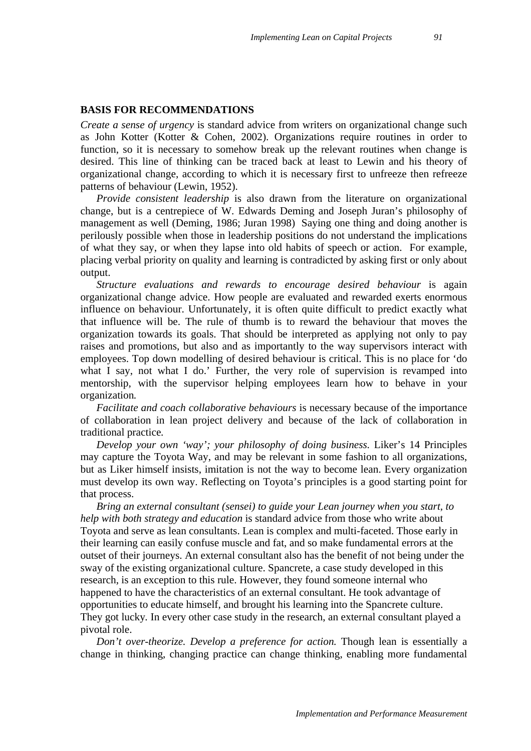#### **BASIS FOR RECOMMENDATIONS**

*Create a sense of urgency* is standard advice from writers on organizational change such as John Kotter (Kotter & Cohen, 2002). Organizations require routines in order to function, so it is necessary to somehow break up the relevant routines when change is desired. This line of thinking can be traced back at least to Lewin and his theory of organizational change, according to which it is necessary first to unfreeze then refreeze patterns of behaviour (Lewin, 1952).

*Provide consistent leadership* is also drawn from the literature on organizational change, but is a centrepiece of W. Edwards Deming and Joseph Juran's philosophy of management as well (Deming, 1986; Juran 1998) Saying one thing and doing another is perilously possible when those in leadership positions do not understand the implications of what they say, or when they lapse into old habits of speech or action. For example, placing verbal priority on quality and learning is contradicted by asking first or only about output.

*Structure evaluations and rewards to encourage desired behaviour* is again organizational change advice. How people are evaluated and rewarded exerts enormous influence on behaviour. Unfortunately, it is often quite difficult to predict exactly what that influence will be. The rule of thumb is to reward the behaviour that moves the organization towards its goals. That should be interpreted as applying not only to pay raises and promotions, but also and as importantly to the way supervisors interact with employees. Top down modelling of desired behaviour is critical. This is no place for 'do what I say, not what I do.' Further, the very role of supervision is revamped into mentorship, with the supervisor helping employees learn how to behave in your organization*.* 

*Facilitate and coach collaborative behaviours* is necessary because of the importance of collaboration in lean project delivery and because of the lack of collaboration in traditional practice*.* 

*Develop your own 'way'; your philosophy of doing business.* Liker's 14 Principles may capture the Toyota Way, and may be relevant in some fashion to all organizations, but as Liker himself insists, imitation is not the way to become lean. Every organization must develop its own way. Reflecting on Toyota's principles is a good starting point for that process.

*Bring an external consultant (sensei) to guide your Lean journey when you start, to help with both strategy and education* is standard advice from those who write about Toyota and serve as lean consultants. Lean is complex and multi-faceted. Those early in their learning can easily confuse muscle and fat, and so make fundamental errors at the outset of their journeys. An external consultant also has the benefit of not being under the sway of the existing organizational culture. Spancrete, a case study developed in this research, is an exception to this rule. However, they found someone internal who happened to have the characteristics of an external consultant. He took advantage of opportunities to educate himself, and brought his learning into the Spancrete culture. They got lucky*.* In every other case study in the research, an external consultant played a pivotal role.

*Don't over-theorize. Develop a preference for action.* Though lean is essentially a change in thinking, changing practice can change thinking, enabling more fundamental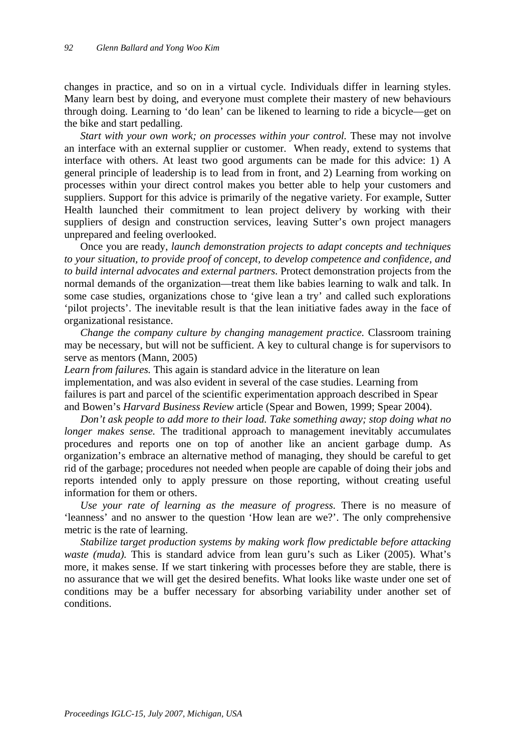changes in practice, and so on in a virtual cycle. Individuals differ in learning styles. Many learn best by doing, and everyone must complete their mastery of new behaviours through doing. Learning to 'do lean' can be likened to learning to ride a bicycle—get on the bike and start pedalling.

Start with your own work; on processes within your control. These may not involve an interface with an external supplier or customer. When ready, extend to systems that interface with others. At least two good arguments can be made for this advice: 1) A general principle of leadership is to lead from in front, and 2) Learning from working on processes within your direct control makes you better able to help your customers and suppliers. Support for this advice is primarily of the negative variety. For example, Sutter Health launched their commitment to lean project delivery by working with their suppliers of design and construction services, leaving Sutter's own project managers unprepared and feeling overlooked.

Once you are ready, *launch demonstration projects to adapt concepts and techniques to your situation, to provide proof of concept, to develop competence and confidence, and to build internal advocates and external partners.* Protect demonstration projects from the normal demands of the organization—treat them like babies learning to walk and talk. In some case studies, organizations chose to 'give lean a try' and called such explorations 'pilot projects'. The inevitable result is that the lean initiative fades away in the face of organizational resistance.

*Change the company culture by changing management practice.* Classroom training may be necessary, but will not be sufficient. A key to cultural change is for supervisors to serve as mentors (Mann, 2005)

*Learn from failures.* This again is standard advice in the literature on lean implementation, and was also evident in several of the case studies. Learning from failures is part and parcel of the scientific experimentation approach described in Spear and Bowen's *Harvard Business Review* article (Spear and Bowen, 1999; Spear 2004).

*Don't ask people to add more to their load. Take something away; stop doing what no longer makes sense*. The traditional approach to management inevitably accumulates procedures and reports one on top of another like an ancient garbage dump. As organization's embrace an alternative method of managing, they should be careful to get rid of the garbage; procedures not needed when people are capable of doing their jobs and reports intended only to apply pressure on those reporting, without creating useful information for them or others.

*Use your rate of learning as the measure of progress.* There is no measure of 'leanness' and no answer to the question 'How lean are we?'. The only comprehensive metric is the rate of learning.

*Stabilize target production systems by making work flow predictable before attacking waste (muda)*. This is standard advice from lean guru's such as Liker (2005). What's more, it makes sense. If we start tinkering with processes before they are stable, there is no assurance that we will get the desired benefits. What looks like waste under one set of conditions may be a buffer necessary for absorbing variability under another set of conditions.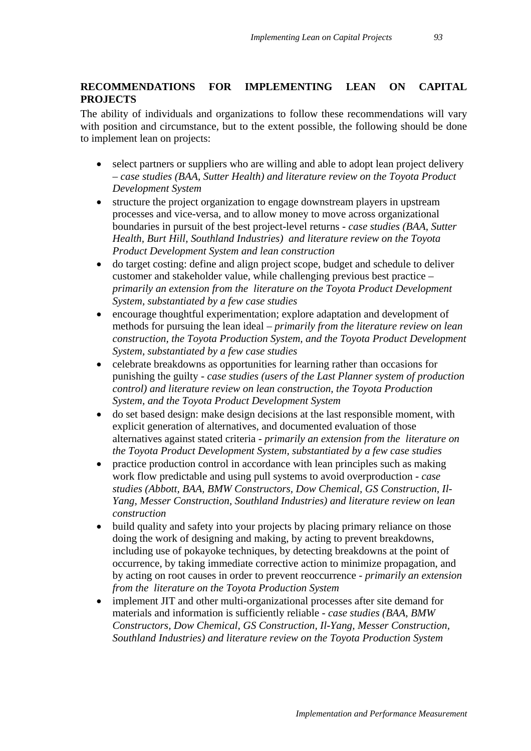# **RECOMMENDATIONS FOR IMPLEMENTING LEAN ON CAPITAL PROJECTS**

The ability of individuals and organizations to follow these recommendations will vary with position and circumstance, but to the extent possible, the following should be done to implement lean on projects:

- select partners or suppliers who are willing and able to adopt lean project delivery – *case studies (BAA, Sutter Health) and literature review on the Toyota Product Development System*
- structure the project organization to engage downstream players in upstream processes and vice-versa, and to allow money to move across organizational boundaries in pursuit of the best project-level returns - *case studies (BAA, Sutter Health, Burt Hill, Southland Industries) and literature review on the Toyota Product Development System and lean construction*
- do target costing: define and align project scope, budget and schedule to deliver customer and stakeholder value, while challenging previous best practice – *primarily an extension from the literature on the Toyota Product Development System, substantiated by a few case studies*
- encourage thoughtful experimentation; explore adaptation and development of methods for pursuing the lean ideal – *primarily from the literature review on lean construction, the Toyota Production System, and the Toyota Product Development System, substantiated by a few case studies*
- celebrate breakdowns as opportunities for learning rather than occasions for punishing the guilty - *case studies (users of the Last Planner system of production control) and literature review on lean construction, the Toyota Production System, and the Toyota Product Development System*
- do set based design: make design decisions at the last responsible moment, with explicit generation of alternatives, and documented evaluation of those alternatives against stated criteria - *primarily an extension from the literature on the Toyota Product Development System, substantiated by a few case studies*
- practice production control in accordance with lean principles such as making work flow predictable and using pull systems to avoid overproduction - *case studies (Abbott, BAA, BMW Constructors, Dow Chemical, GS Construction, Il-Yang, Messer Construction, Southland Industries) and literature review on lean construction*
- build quality and safety into your projects by placing primary reliance on those doing the work of designing and making, by acting to prevent breakdowns, including use of pokayoke techniques, by detecting breakdowns at the point of occurrence, by taking immediate corrective action to minimize propagation, and by acting on root causes in order to prevent reoccurrence - *primarily an extension from the literature on the Toyota Production System*
- implement JIT and other multi-organizational processes after site demand for materials and information is sufficiently reliable - *case studies (BAA, BMW Constructors, Dow Chemical, GS Construction, Il-Yang, Messer Construction, Southland Industries) and literature review on the Toyota Production System*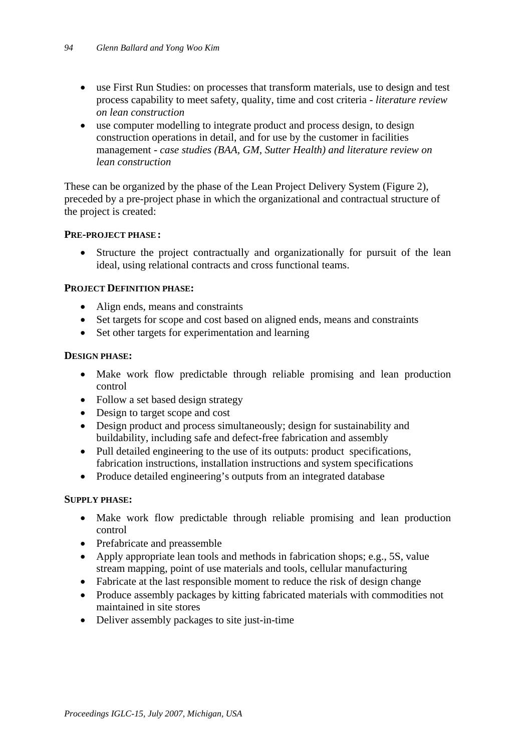- use First Run Studies: on processes that transform materials, use to design and test process capability to meet safety, quality, time and cost criteria - *literature review on lean construction*
- use computer modelling to integrate product and process design, to design construction operations in detail, and for use by the customer in facilities management - *case studies (BAA, GM, Sutter Health) and literature review on lean construction*

These can be organized by the phase of the Lean Project Delivery System (Figure 2), preceded by a pre-project phase in which the organizational and contractual structure of the project is created:

## **PRE-PROJECT PHASE :**

Structure the project contractually and organizationally for pursuit of the lean ideal, using relational contracts and cross functional teams.

### **PROJECT DEFINITION PHASE:**

- Align ends, means and constraints
- Set targets for scope and cost based on aligned ends, means and constraints
- Set other targets for experimentation and learning

### **DESIGN PHASE:**

- Make work flow predictable through reliable promising and lean production control
- Follow a set based design strategy
- Design to target scope and cost
- Design product and process simultaneously; design for sustainability and buildability, including safe and defect-free fabrication and assembly
- Pull detailed engineering to the use of its outputs: product specifications, fabrication instructions, installation instructions and system specifications
- Produce detailed engineering's outputs from an integrated database

## **SUPPLY PHASE:**

- Make work flow predictable through reliable promising and lean production control
- Prefabricate and preassemble
- Apply appropriate lean tools and methods in fabrication shops; e.g., 5S, value stream mapping, point of use materials and tools, cellular manufacturing
- Fabricate at the last responsible moment to reduce the risk of design change
- Produce assembly packages by kitting fabricated materials with commodities not maintained in site stores
- Deliver assembly packages to site just-in-time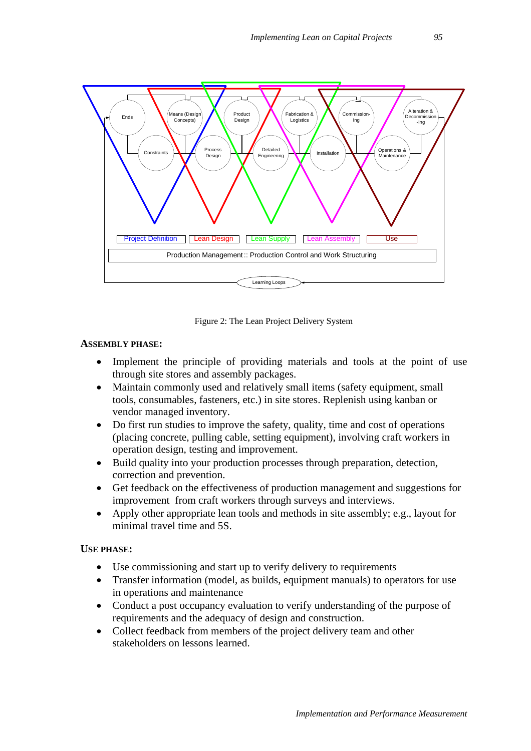

Figure 2: The Lean Project Delivery System

## **ASSEMBLY PHASE:**

- Implement the principle of providing materials and tools at the point of use through site stores and assembly packages.
- Maintain commonly used and relatively small items (safety equipment, small tools, consumables, fasteners, etc.) in site stores. Replenish using kanban or vendor managed inventory.
- Do first run studies to improve the safety, quality, time and cost of operations (placing concrete, pulling cable, setting equipment), involving craft workers in operation design, testing and improvement.
- Build quality into your production processes through preparation, detection, correction and prevention.
- Get feedback on the effectiveness of production management and suggestions for improvement from craft workers through surveys and interviews.
- Apply other appropriate lean tools and methods in site assembly; e.g., layout for minimal travel time and 5S.

#### **USE PHASE:**

- Use commissioning and start up to verify delivery to requirements
- Transfer information (model, as builds, equipment manuals) to operators for use in operations and maintenance
- Conduct a post occupancy evaluation to verify understanding of the purpose of requirements and the adequacy of design and construction.
- Collect feedback from members of the project delivery team and other stakeholders on lessons learned.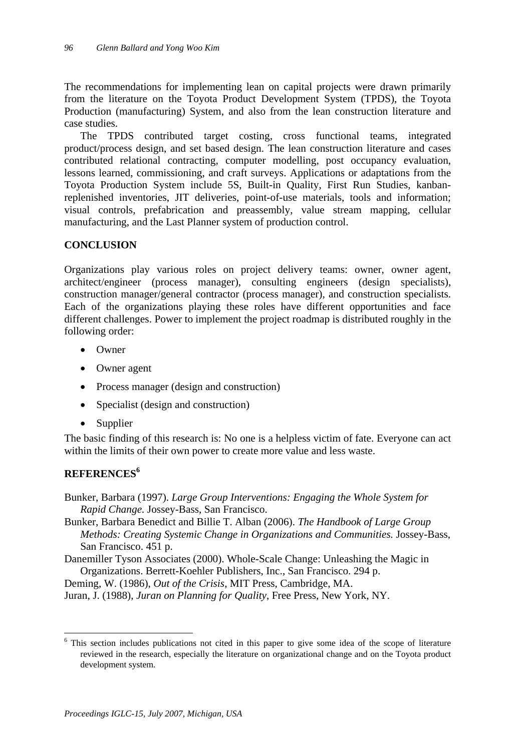The recommendations for implementing lean on capital projects were drawn primarily from the literature on the Toyota Product Development System (TPDS), the Toyota Production (manufacturing) System, and also from the lean construction literature and case studies.

The TPDS contributed target costing, cross functional teams, integrated product/process design, and set based design. The lean construction literature and cases contributed relational contracting, computer modelling, post occupancy evaluation, lessons learned, commissioning, and craft surveys. Applications or adaptations from the Toyota Production System include 5S, Built-in Quality, First Run Studies, kanbanreplenished inventories, JIT deliveries, point-of-use materials, tools and information; visual controls, prefabrication and preassembly, value stream mapping, cellular manufacturing, and the Last Planner system of production control.

# **CONCLUSION**

Organizations play various roles on project delivery teams: owner, owner agent, architect/engineer (process manager), consulting engineers (design specialists), construction manager/general contractor (process manager), and construction specialists. Each of the organizations playing these roles have different opportunities and face different challenges. Power to implement the project roadmap is distributed roughly in the following order:

- Owner
- Owner agent
- Process manager (design and construction)
- Specialist (design and construction)
- Supplier

The basic finding of this research is: No one is a helpless victim of fate. Everyone can act within the limits of their own power to create more value and less waste.

# **REFERENCES<sup>6</sup>**

 $\overline{a}$ 

- Bunker, Barbara (1997). *Large Group Interventions: Engaging the Whole System for Rapid Change.* Jossey-Bass, San Francisco.
- Bunker, Barbara Benedict and Billie T. Alban (2006). *The Handbook of Large Group Methods: Creating Systemic Change in Organizations and Communities.* Jossey-Bass, San Francisco. 451 p.

Danemiller Tyson Associates (2000). Whole-Scale Change: Unleashing the Magic in Organizations. Berrett-Koehler Publishers, Inc., San Francisco. 294 p.

- Deming, W. (1986), *Out of the Crisis*, MIT Press, Cambridge, MA.
- Juran, J. (1988), *Juran on Planning for Quality*, Free Press, New York, NY.

<sup>&</sup>lt;sup>6</sup> This section includes publications not cited in this paper to give some idea of the scope of literature reviewed in the research, especially the literature on organizational change and on the Toyota product development system.